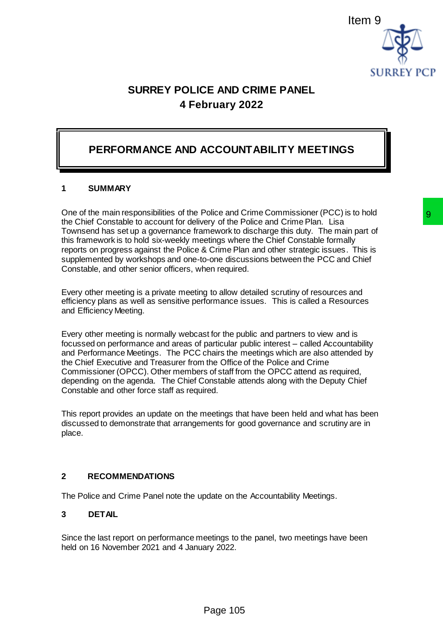

# **SURREY POLICE AND CRIME PANEL 4 February 2022**

## **PERFORMANCE AND ACCOUNTABILITY MEETINGS**

### **1 SUMMARY**

One of the main responsibilities of the Police and Crime Commissioner (PCC) is to hold the Chief Constable to account for delivery of the Police and Crime Plan. Lisa Townsend has set up a governance framework to discharge this duty. The main part of this framework is to hold six-weekly meetings where the Chief Constable formally reports on progress against the Police & Crime Plan and other strategic issues. This is supplemented by workshops and one-to-one discussions between the PCC and Chief Constable, and other senior officers, when required.

Every other meeting is a private meeting to allow detailed scrutiny of resources and efficiency plans as well as sensitive performance issues. This is called a Resources and Efficiency Meeting.

Every other meeting is normally webcast for the public and partners to view and is focussed on performance and areas of particular public interest – called Accountability and Performance Meetings. The PCC chairs the meetings which are also attended by the Chief Executive and Treasurer from the Office of the Police and Crime Commissioner (OPCC). Other members of staff from the OPCC attend as required, depending on the agenda. The Chief Constable attends along with the Deputy Chief Constable and other force staff as required. Police and Crime Commissioner (PCC) is to hold<br>enery of the Police and Crime Plan. Lisa<br>mework to discharge this duty. The main part of<br>etings where the Chief Constable formally<br>at Crime Plan and other strategic issues. Th

This report provides an update on the meetings that have been held and what has been discussed to demonstrate that arrangements for good governance and scrutiny are in place.

#### **2 RECOMMENDATIONS**

The Police and Crime Panel note the update on the Accountability Meetings.

#### **3 DETAIL**

Since the last report on performance meetings to the panel, two meetings have been held on 16 November 2021 and 4 January 2022.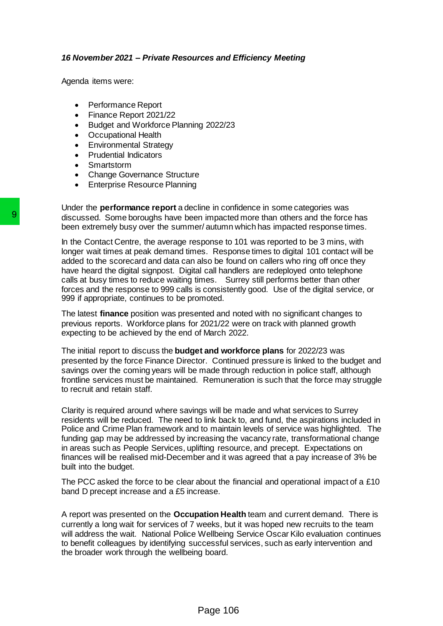#### *16 November 2021 – Private Resources and Efficiency Meeting*

Agenda items were:

- Performance Report
- Finance Report 2021/22
- Budget and Workforce Planning 2022/23
- Occupational Health
- Environmental Strategy
- Prudential Indicators
- Smartstorm
- Change Governance Structure
- Enterprise Resource Planning

Under the **performance report** a decline in confidence in some categories was discussed. Some boroughs have been impacted more than others and the force has been extremely busy over the summer/ autumn which has impacted response times.

In the Contact Centre, the average response to 101 was reported to be 3 mins, with longer wait times at peak demand times. Response times to digital 101 contact will be added to the scorecard and data can also be found on callers who ring off once they have heard the digital signpost. Digital call handlers are redeployed onto telephone calls at busy times to reduce waiting times. Surrey still performs better than other forces and the response to 999 calls is consistently good. Use of the digital service, or 999 if appropriate, continues to be promoted.

The latest **finance** position was presented and noted with no significant changes to previous reports. Workforce plans for 2021/22 were on track with planned growth expecting to be achieved by the end of March 2022.

The initial report to discuss the **budget and workforce plans** for 2022/23 was presented by the force Finance Director. Continued pressure is linked to the budget and savings over the coming years will be made through reduction in police staff, although frontline services must be maintained. Remuneration is such that the force may struggle to recruit and retain staff.

Clarity is required around where savings will be made and what services to Surrey residents will be reduced. The need to link back to, and fund, the aspirations included in Police and Crime Plan framework and to maintain levels of service was highlighted. The funding gap may be addressed by increasing the vacancy rate, transformational change in areas such as People Services, uplifting resource, and precept. Expectations on finances will be realised mid-December and it was agreed that a pay increase of 3% be built into the budget. **9** discussed. Some boroughs have been impacted<br>been extremely busy over the summer/ autumn which contact Centre, the average response to 1<br>onger wait times at peak demand thess. Responsed to 1<br>onger wait times at peak dem

The PCC asked the force to be clear about the financial and operational impact of a £10 band D precept increase and a £5 increase.

A report was presented on the **Occupation Health** team and current demand. There is currently a long wait for services of 7 weeks, but it was hoped new recruits to the team will address the wait. National Police Wellbeing Service Oscar Kilo evaluation continues to benefit colleagues by identifying successful services, such as early intervention and the broader work through the wellbeing board.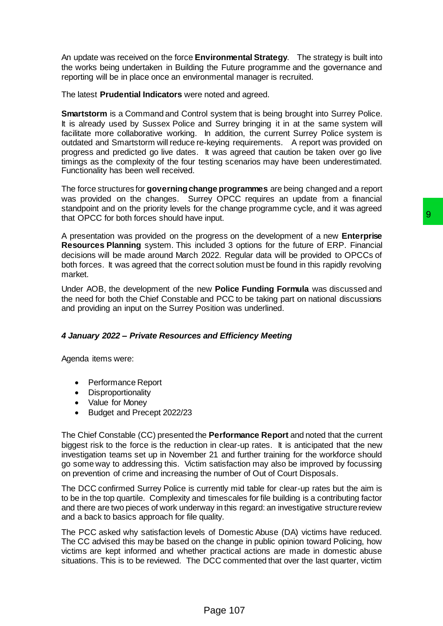An update was received on the force **Environmental Strategy**. The strategy is built into the works being undertaken in Building the Future programme and the governance and reporting will be in place once an environmental manager is recruited.

The latest **Prudential Indicators** were noted and agreed.

**Smartstorm** is a Command and Control system that is being brought into Surrey Police. It is already used by Sussex Police and Surrey bringing it in at the same system will facilitate more collaborative working. In addition, the current Surrey Police system is outdated and Smartstorm will reduce re-keying requirements. A report was provided on progress and predicted go live dates. It was agreed that caution be taken over go live timings as the complexity of the four testing scenarios may have been underestimated. Functionality has been well received.

The force structures for **governing change programmes** are being changed and a report was provided on the changes. Surrey OPCC requires an update from a financial standpoint and on the priority levels for the change programme cycle, and it was agreed that OPCC for both forces should have input.

A presentation was provided on the progress on the development of a new **Enterprise Resources Planning** system. This included 3 options for the future of ERP. Financial decisions will be made around March 2022. Regular data will be provided to OPCCs of both forces. It was agreed that the correct solution must be found in this rapidly revolving market. not the development of a new Enterprise<br>input.<br>Input.<br>Input.<br>Increases on the development of a new Enterprise<br>Increases of the future of ERP. Financial<br>2022. Regular data will be provided to OPCCs of<br>ect solution must be f

Under AOB, the development of the new **Police Funding Formula** was discussed and the need for both the Chief Constable and PCC to be taking part on national discussions and providing an input on the Surrey Position was underlined.

## *4 January 2022 – Private Resources and Efficiency Meeting*

Agenda items were:

- Performance Report
- Disproportionality
- Value for Money
- Budget and Precept 2022/23

The Chief Constable (CC) presented the **Performance Report** and noted that the current biggest risk to the force is the reduction in clear-up rates. It is anticipated that the new investigation teams set up in November 21 and further training for the workforce should go some way to addressing this. Victim satisfaction may also be improved by focussing on prevention of crime and increasing the number of Out of Court Disposals.

The DCC confirmed Surrey Police is currently mid table for clear-up rates but the aim is to be in the top quartile. Complexity and timescales for file building is a contributing factor and there are two pieces of work underway in this regard: an investigative structure review and a back to basics approach for file quality.

The PCC asked why satisfaction levels of Domestic Abuse (DA) victims have reduced. The CC advised this may be based on the change in public opinion toward Policing, how victims are kept informed and whether practical actions are made in domestic abuse situations. This is to be reviewed. The DCC commented that over the last quarter, victim